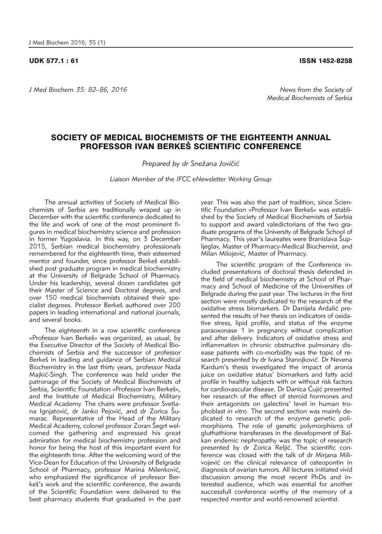## UDK 577.1 : 61 ISSN 1452-8258

*J Med Biochem 35: 82–86, 2016 News from the Society of* 

## SOCIETY OF MEDICAL BIOCHEMISTS OF THE EIGHTEENTH ANNUAL PROFESSOR IVAN BERKES SCIENTIFIC CONFERENCE

Prepared by dr Snežana Jovičić

*Liaison Member of the IFCC eNewsletter Working Group*

The annual activities of Society of Medical Biochemists of Serbia are traditionally wraped up in December with the scientific conference dedicated to the life and work of one of the most prominent figures in medical biochemistry science and profession in former Yugoslavia. In this way, on 3 December 2015, Serbian medical biochemistry professionals remembered for the eighteenth time, their esteemed mentor and founder, since professor Berkeš established post graduate program in medical biochemistry at the University of Belgrade School of Pharmacy. Under his leadership, several dozen candidates got their Master of Science and Doctoral degrees, and over 150 medical biochemists obtained their specialist degrees. Professor Berkeš authored over 200 papers in leading international and national journals, and several books.

The eighteenth in a row scientific conference »Professor Ivan Berkeš« was organized, as usual, by the Executive Director of the Society of Medical Biochemists of Serbia and the successor of professor Berkeš in leading and guidance of Serbian Medical Biochemistry in the last thirty years, professor Nada Majkić-Singh. The conference was held under the patronage of the Society of Medical Biochemists of Serbia, Scientific Foundation »Professor Ivan Berkeš«, and the Institute of Medical Biochemistry, Military Medical Academy. The chairs were professor Svetlana Ignjatović, dr Janko Pejović, and dr Zorica Sumarac. Representative of the Head of the Military Medical Academy, colonel professor Zoran Šegrt welcomed the gathering and expressed his great admiration for medical biochemistry profession and honor for being the host of this important event for the eighteenth time. After the welcoming word of the Vice-Dean for Education of the University of Belgrade School of Pharmacy, professor Marina Milenković, who emphasized the significance of professor Berkeš's work and the scientific conference, the awards of the Scientific Foundation were delivered to the best pharmacy students that graduated in the past

year. This was also the part of tradition, since Scientific Foundation »Professor Ivan Berkeš« was established by the Society of Medical Biochemists of Serbia to support and award valedictorians of the two graduate programs of the University of Belgrade School of Pharmacy. This year's laureates were Branislava Supljeglav, Master of Pharmacy-Medical Biochemist, and Milan Milojević, Master of Pharmacy.

The scientific program of the Conference included presentations of doctoral thesis defended in the field of medical biochemistry at School of Pharmacy and School of Medicine of the Universities of Belgrade during the past year. The lectures in the first section were mostly dedicated to the research of the oxidative stress biomarkers. Dr Danijela Ardalić presented the results of her thesis on indicators of oxidative stress, lipid profile, and status of the enzyme paraoxonase 1 in pregnancy without complication and after delivery. Indicators of oxidative stress and inflammation in chronic obstructive pulmonary disease patients with co-morbidity was the topic of research presented by dr Ivana Stanojković. Dr Nevena Kardum's thesis investigated the impact of aronia juice on oxidative status' biomarkers and fatty acid profile in healthy subjects with or without risk factors for cardiovascular disease. Dr Danica Ćujić presented her research of the effect of steroid hormones and their antagonists on galectins' level in human trophoblast *in vitro*. The second section was mainly dedicated to research of the enzyme genetic polimorphisms. The role of genetic polymorphisms of gluthathione transferases in the development of Balkan endemic nephropathy was the topic of research presented by dr Zorica Reljić. The scientific conference was closed with the talk of dr Mirjana Milivojević on the clinical relevance of osteopontin in diagnosis of ovarian tumors. All lectures initiated vivid discussion among the most recent PhDs and interested audience, which was essential for another successfull conference worthy of the memory of a respected mentor and world-renowned scientist.

*Medical Biochemists of Serbia*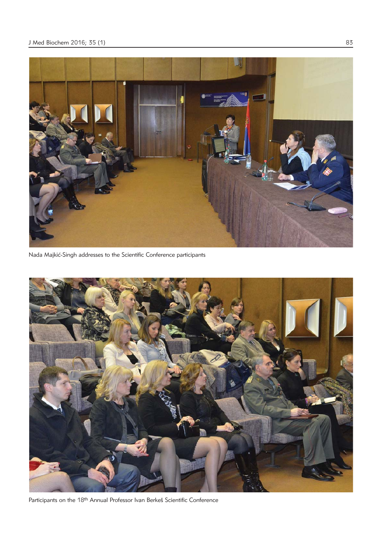

Nada Majkić-Singh addresses to the Scientific Conference participants



Participants on the 18<sup>th</sup> Annual Professor Ivan Berkeš Scientific Conference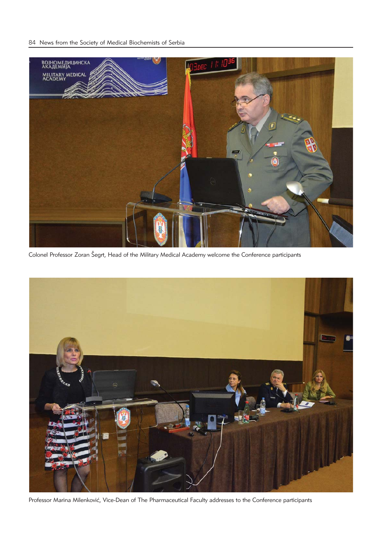

Colonel Professor Zoran Šegrt, Head of the Military Medical Academy welcome the Conference participants



Professor Marina Milenković, Vice-Dean of The Pharmaceutical Faculty addresses to the Conference participants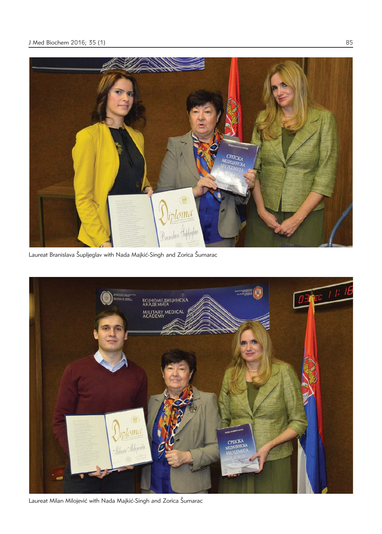

Laureat Branislava Šupljeglav with Nada Majkić-Singh and Zorica Šumarac



Laureat Milan Milojević with Nada Majkić-Singh and Zorica Šumarac